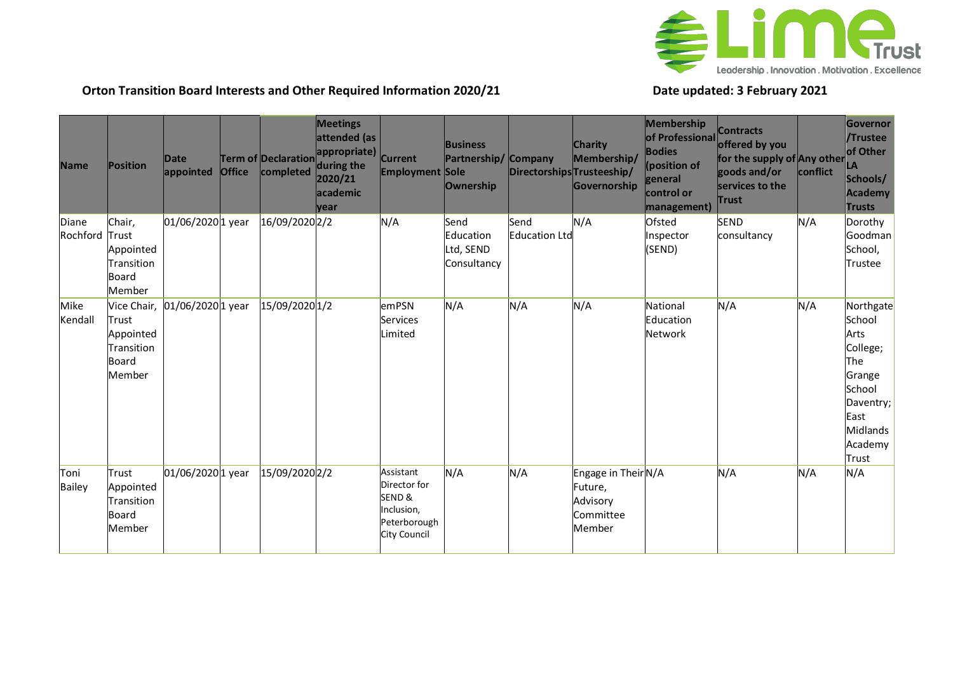

## **Orton Transition Board Interests and Other Required Information 2020/21 Date updated: 3 February 2021**

| <b>Name</b>       | Position                                                                  | Date<br>appointed | <b>Office</b> | Term of Declaration<br>completed | <b>Meetings</b><br>attended (as<br>appropriate) Current<br>during the<br>2020/21<br>academic<br>vear | <b>Employment Sole</b>                                                           | <b>Business</b><br>Partnership/<br>Ownership  | <b>Company</b><br>Directorships Trusteeship/ | <b>Charity</b><br>Membership/<br>Governorship                     | Membership<br>of Professional<br><b>Bodies</b><br>(position of<br>general<br>control or<br>management) | <b>Contracts</b><br>offered by you<br>for the supply of Any other<br>goods and/or<br>services to the<br><b>Trust</b> | conflict | Governor<br>/Trustee<br>of Other<br><b>LA</b><br>Schools/<br><b>Academy</b><br><b>Trusts</b>                                   |
|-------------------|---------------------------------------------------------------------------|-------------------|---------------|----------------------------------|------------------------------------------------------------------------------------------------------|----------------------------------------------------------------------------------|-----------------------------------------------|----------------------------------------------|-------------------------------------------------------------------|--------------------------------------------------------------------------------------------------------|----------------------------------------------------------------------------------------------------------------------|----------|--------------------------------------------------------------------------------------------------------------------------------|
| Diane<br>Rochford | Chair,<br>Trust<br>Appointed<br>Transition<br><b>Board</b><br>Member      | 01/06/20201 year  |               | 16/09/2020 2/2                   |                                                                                                      | N/A                                                                              | Send<br>Education<br>Ltd, SEND<br>Consultancy | Send<br><b>Education Ltd</b>                 | N/A                                                               | Ofsted<br>Inspector<br>(SEND)                                                                          | <b>SEND</b><br>consultancy                                                                                           | N/A      | Dorothy<br>Goodman<br>School,<br>Trustee                                                                                       |
| Mike<br>Kendall   | Vice Chair,<br>Trust<br>Appointed<br>Transition<br><b>Board</b><br>Member | 01/06/2020 1 year |               | 15/09/2020 1/2                   |                                                                                                      | emPSN<br><b>Services</b><br>Limited                                              | N/A                                           | N/A                                          | N/A                                                               | National<br>Education<br>Network                                                                       | N/A                                                                                                                  | N/A      | Northgate<br>School<br>Arts<br>College;<br>The<br>Grange<br>School<br>Daventry;<br>East<br><b>Midlands</b><br>Academy<br>Trust |
| Toni<br>Bailey    | Trust<br>Appointed<br>Transition<br>Board<br>Member                       | 01/06/2020 1 year |               | 15/09/2020 2/2                   |                                                                                                      | Assistant<br>Director for<br>SEND&<br>Inclusion,<br>Peterborough<br>City Council | N/A                                           | N/A                                          | Engage in Their N/A<br>Future,<br>Advisory<br>Committee<br>Member |                                                                                                        | N/A                                                                                                                  | N/A      | N/A                                                                                                                            |